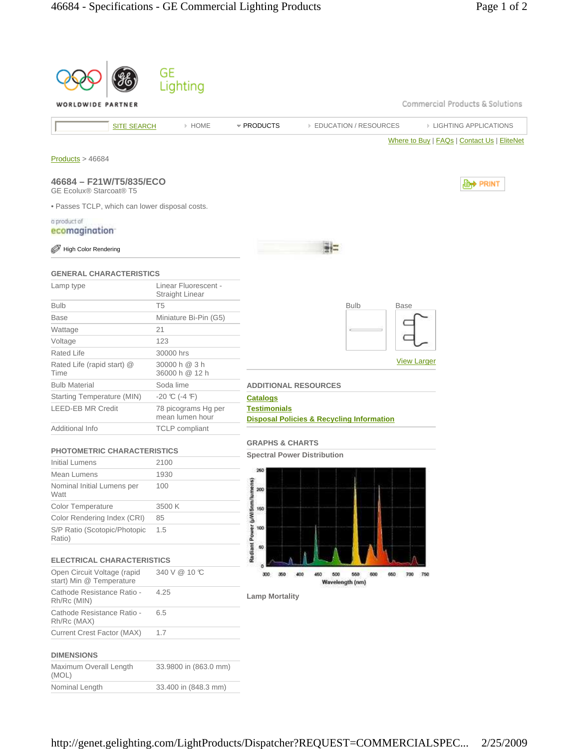|                                                         |                    | GE<br>Lighting                                 |                                                                                       |
|---------------------------------------------------------|--------------------|------------------------------------------------|---------------------------------------------------------------------------------------|
| WORLDWIDE PARTNER                                       |                    |                                                | Commercial Products & Solutions                                                       |
|                                                         | <b>SITE SEARCH</b> | > HOME                                         | * PRODUCTS<br><b>EDUCATION / RESOURCES</b><br><b>EIGHTING APPLICATIONS</b>            |
|                                                         |                    |                                                | Where to Buy   FAQs   Contact Us   EliteNet                                           |
| Products > 46684                                        |                    |                                                |                                                                                       |
| 46684 - F21W/T5/835/ECO<br>GE Ecolux® Starcoat® T5      |                    |                                                | , PRINT                                                                               |
| . Passes TCLP, which can lower disposal costs.          |                    |                                                |                                                                                       |
| a product of<br>ecomagination <sup>-</sup>              |                    |                                                |                                                                                       |
| <b>High Color Rendering</b>                             |                    |                                                |                                                                                       |
| <b>GENERAL CHARACTERISTICS</b>                          |                    |                                                |                                                                                       |
| Lamp type                                               |                    | Linear Fluorescent -<br><b>Straight Linear</b> |                                                                                       |
| <b>Bulb</b>                                             |                    | T <sub>5</sub>                                 | <b>Bulb</b><br><b>Base</b>                                                            |
| <b>Base</b>                                             |                    | Miniature Bi-Pin (G5)                          |                                                                                       |
| Wattage                                                 |                    | 21                                             |                                                                                       |
| Voltage                                                 |                    | 123                                            |                                                                                       |
| <b>Rated Life</b>                                       |                    | 30000 hrs                                      | <b>View Larger</b>                                                                    |
| Rated Life (rapid start) @<br>Time                      |                    | 30000 h @ 3 h<br>36000 h @ 12 h                |                                                                                       |
| <b>Bulb Material</b>                                    |                    | Soda lime                                      | <b>ADDITIONAL RESOURCES</b>                                                           |
| Starting Temperature (MIN)                              |                    | $-20$ °C (-4 °F)                               | <b>Catalogs</b>                                                                       |
| <b>LEED-EB MR Credit</b>                                |                    | 78 picograms Hg per<br>mean lumen hour         | <b>Testimonials</b><br><b>Disposal Policies &amp; Recycling Information</b>           |
| Additional Info                                         |                    | <b>TCLP</b> compliant                          |                                                                                       |
| <b>PHOTOMETRIC CHARACTERISTICS</b>                      |                    |                                                | <b>GRAPHS &amp; CHARTS</b>                                                            |
| Initial Lumens                                          |                    | 2100                                           | <b>Spectral Power Distribution</b>                                                    |
| Mean Lumens                                             |                    | 1930                                           | 260                                                                                   |
| Nominal Initial Lumens per<br>Watt                      |                    | 100                                            | 200                                                                                   |
| Color Temperature                                       |                    | 3500 K                                         | 150                                                                                   |
| Color Rendering Index (CRI)                             |                    | 85                                             |                                                                                       |
| S/P Ratio (Scotopic/Photopic<br>Ratio)                  |                    | 1.5                                            | Radiant Power (µW/5nm/lumens)<br>100<br>60                                            |
| <b>ELECTRICAL CHARACTERISTICS</b>                       |                    |                                                |                                                                                       |
| Open Circuit Voltage (rapid<br>start) Min @ Temperature |                    | 340 V @ 10 °C                                  | 600<br>300<br>450<br>500<br>560<br>350<br>400<br>660<br>700<br>750<br>Wavelength (nm) |
| Cathode Resistance Ratio -<br>Rh/Rc (MIN)               |                    | 4.25                                           | <b>Lamp Mortality</b>                                                                 |
| Cathode Resistance Ratio -<br>Rh/Rc (MAX)               |                    | 6.5                                            |                                                                                       |
| Current Crest Factor (MAX)                              |                    | 1.7                                            |                                                                                       |
| <b>DIMENSIONS</b>                                       |                    |                                                |                                                                                       |
| Maximum Overall Length<br>(MOL)                         |                    | 33.9800 in (863.0 mm)                          |                                                                                       |
| Nominal Length                                          |                    | 33.400 in (848.3 mm)                           |                                                                                       |